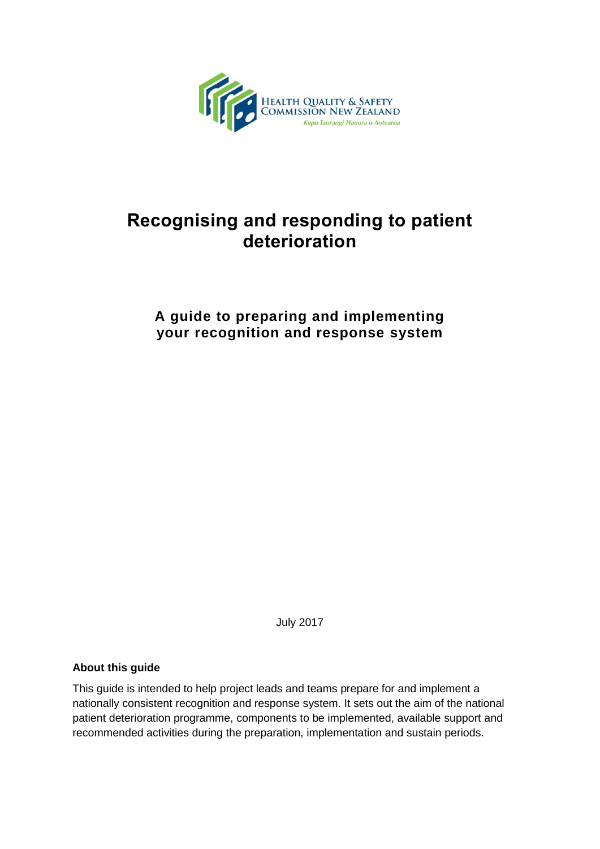

# **Recognising and responding to patient deterioration**

## **A guide to preparing and implementing your recognition and response system**

July 2017

#### **About this guide**

This guide is intended to help project leads and teams prepare for and implement a nationally consistent recognition and response system. It sets out the aim of the national patient deterioration programme, components to be implemented, available support and recommended activities during the preparation, implementation and sustain periods.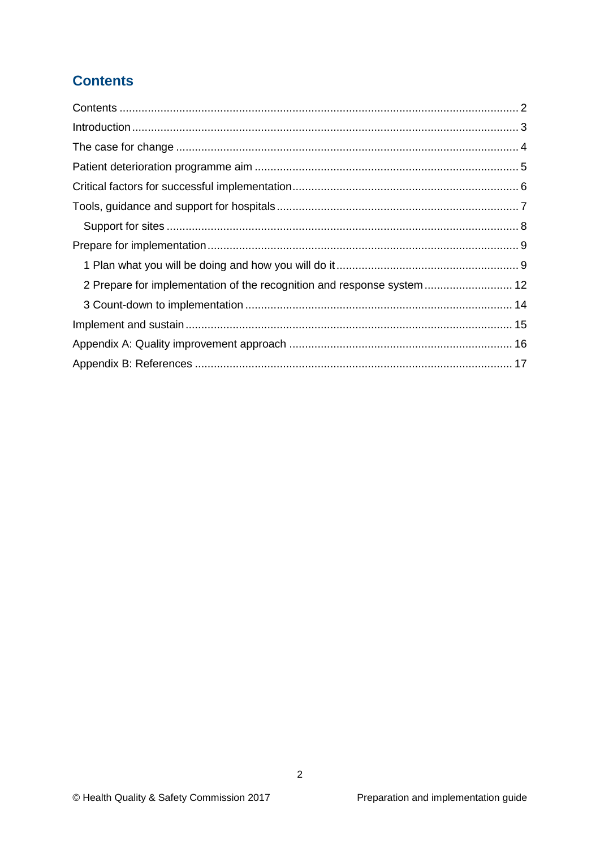## <span id="page-1-0"></span>**Contents**

| 2 Prepare for implementation of the recognition and response system  12 |
|-------------------------------------------------------------------------|
|                                                                         |
|                                                                         |
|                                                                         |
|                                                                         |
|                                                                         |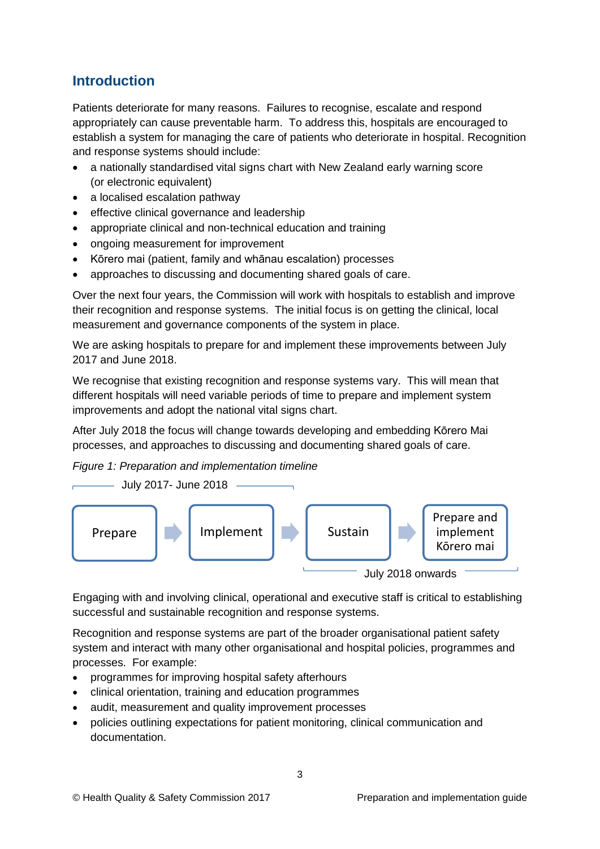## <span id="page-2-0"></span>**Introduction**

Patients deteriorate for many reasons. Failures to recognise, escalate and respond appropriately can cause preventable harm. To address this, hospitals are encouraged to establish a system for managing the care of patients who deteriorate in hospital. Recognition and response systems should include:

- a nationally standardised vital signs chart with New Zealand early warning score (or electronic equivalent)
- a localised escalation pathway
- effective clinical governance and leadership
- appropriate clinical and non-technical education and training
- ongoing measurement for improvement
- Kōrero mai (patient, family and whānau escalation) processes
- approaches to discussing and documenting shared goals of care.

Over the next four years, the Commission will work with hospitals to establish and improve their recognition and response systems. The initial focus is on getting the clinical, local measurement and governance components of the system in place.

We are asking hospitals to prepare for and implement these improvements between July 2017 and June 2018.

We recognise that existing recognition and response systems vary. This will mean that different hospitals will need variable periods of time to prepare and implement system improvements and adopt the national vital signs chart.

After July 2018 the focus will change towards developing and embedding Kōrero Mai processes, and approaches to discussing and documenting shared goals of care.

*Figure 1: Preparation and implementation timeline*



Engaging with and involving clinical, operational and executive staff is critical to establishing successful and sustainable recognition and response systems.

Recognition and response systems are part of the broader organisational patient safety system and interact with many other organisational and hospital policies, programmes and processes. For example:

- programmes for improving hospital safety afterhours
- clinical orientation, training and education programmes
- audit, measurement and quality improvement processes
- policies outlining expectations for patient monitoring, clinical communication and documentation.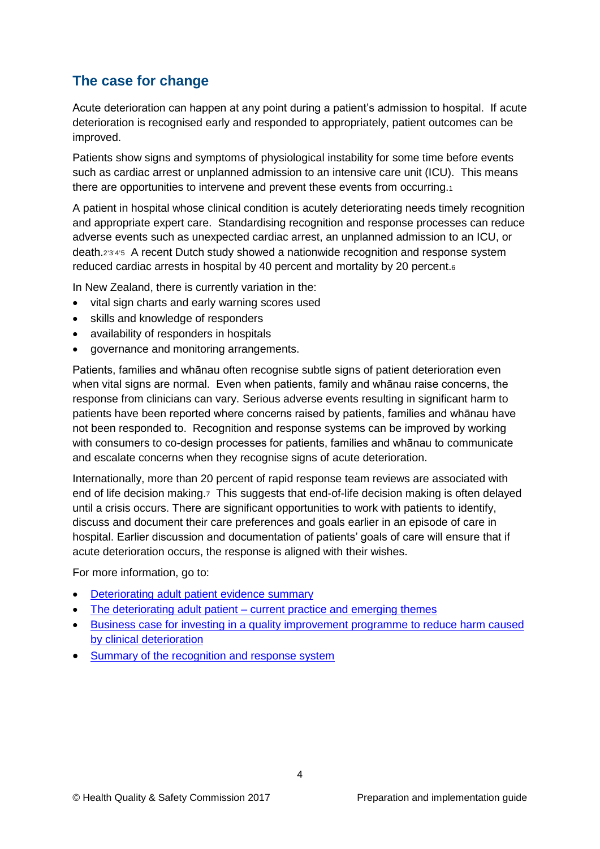## <span id="page-3-0"></span>**The case for change**

Acute deterioration can happen at any point during a patient's admission to hospital. If acute deterioration is recognised early and responded to appropriately, patient outcomes can be improved.

Patients show signs and symptoms of physiological instability for some time before events such as cardiac arrest or unplanned admission to an intensive care unit (ICU). This means there are opportunities to intervene and prevent these events from occurring.<sup>1</sup>

A patient in hospital whose clinical condition is acutely deteriorating needs timely recognition and appropriate expert care. Standardising recognition and response processes can reduce adverse events such as unexpected cardiac arrest, an unplanned admission to an ICU, or death.2345 A recent Dutch study showed a nationwide recognition and response system reduced cardiac arrests in hospital by 40 percent and mortality by 20 percent.<sup>6</sup>

In New Zealand, there is currently variation in the:

- vital sign charts and early warning scores used
- skills and knowledge of responders
- availability of responders in hospitals
- governance and monitoring arrangements.

Patients, families and whānau often recognise subtle signs of patient deterioration even when vital signs are normal. Even when patients, family and whānau raise concerns, the response from clinicians can vary. Serious adverse events resulting in significant harm to patients have been reported where concerns raised by patients, families and whānau have not been responded to. Recognition and response systems can be improved by working with consumers to co-design processes for patients, families and whānau to communicate and escalate concerns when they recognise signs of acute deterioration.

Internationally, more than 20 percent of rapid response team reviews are associated with end of life decision making.7 This suggests that end-of-life decision making is often delayed until a crisis occurs. There are significant opportunities to work with patients to identify, discuss and document their care preferences and goals earlier in an episode of care in hospital. Earlier discussion and documentation of patients' goals of care will ensure that if acute deterioration occurs, the response is aligned with their wishes.

For more information, go to:

- [Deteriorating adult patient evidence summary](http://www.hqsc.govt.nz/our-programmes/other-topics/publications-and-resources/publication/2551/)
- The deteriorating adult patient [current practice and emerging themes](http://www.hqsc.govt.nz/our-programmes/other-topics/publications-and-resources/publication/2454/)
- [Business case for investing in a quality improvement programme to reduce harm caused](http://www.hqsc.govt.nz/our-programmes/other-topics/publications-and-resources/publication/2335/)  [by clinical deterioration](http://www.hqsc.govt.nz/our-programmes/other-topics/publications-and-resources/publication/2335/)
- [Summary of the recognition and response system](https://www.hqsc.govt.nz/our-programmes/patient-deterioration/recognition-and-response-systems/guidance/)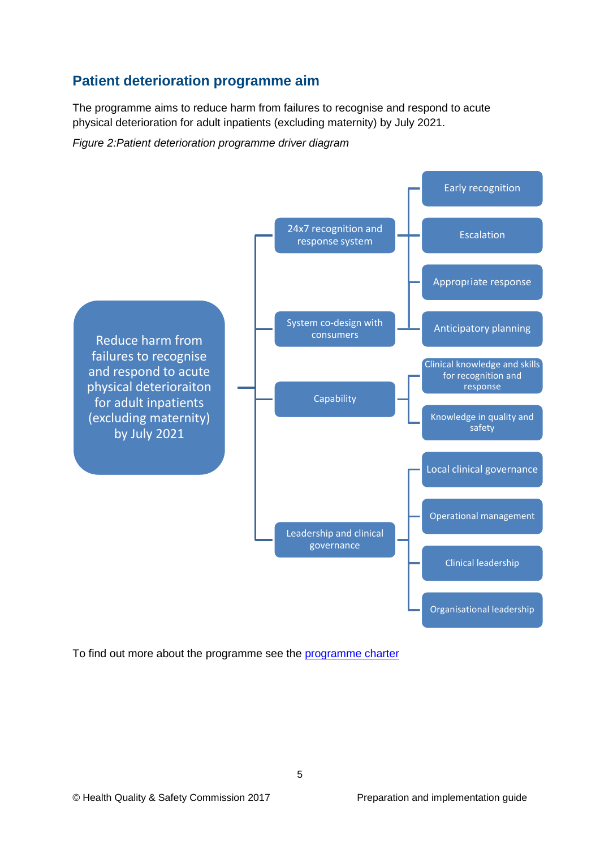## <span id="page-4-0"></span>**Patient deterioration programme aim**

The programme aims to reduce harm from failures to recognise and respond to acute physical deterioration for adult inpatients (excluding maternity) by July 2021.

*Figure 2:Patient deterioration programme driver diagram*



To find out more about the programme see the [programme charter](http://www.hqsc.govt.nz/our-programmes/other-topics/publications-and-resources/publication/2664/)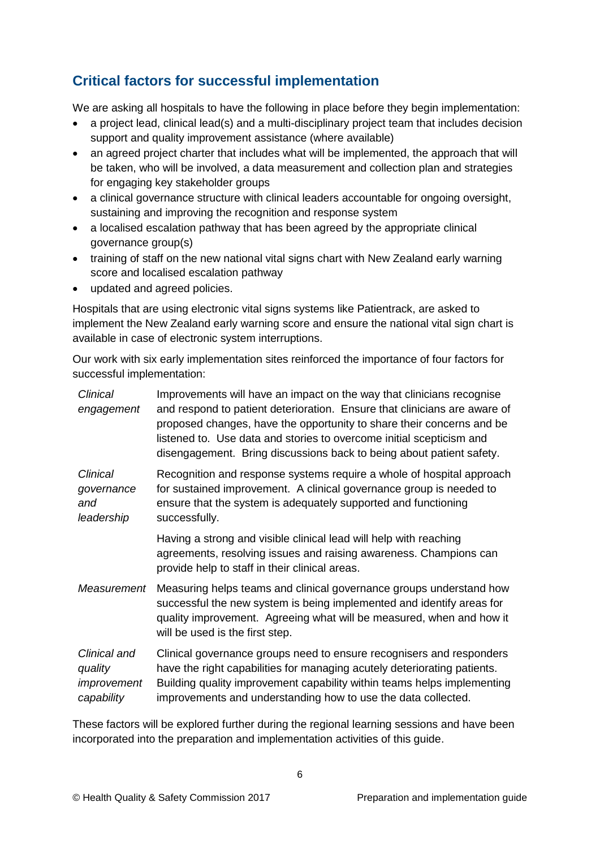## <span id="page-5-0"></span>**Critical factors for successful implementation**

We are asking all hospitals to have the following in place before they begin implementation:

- a project lead, clinical lead(s) and a multi-disciplinary project team that includes decision support and quality improvement assistance (where available)
- an agreed project charter that includes what will be implemented, the approach that will be taken, who will be involved, a data measurement and collection plan and strategies for engaging key stakeholder groups
- a clinical governance structure with clinical leaders accountable for ongoing oversight, sustaining and improving the recognition and response system
- a localised escalation pathway that has been agreed by the appropriate clinical governance group(s)
- training of staff on the new national vital signs chart with New Zealand early warning score and localised escalation pathway
- updated and agreed policies.

Hospitals that are using electronic vital signs systems like Patientrack, are asked to implement the New Zealand early warning score and ensure the national vital sign chart is available in case of electronic system interruptions.

Our work with six early implementation sites reinforced the importance of four factors for successful implementation:

| Clinical<br>engagement                               | Improvements will have an impact on the way that clinicians recognise<br>and respond to patient deterioration. Ensure that clinicians are aware of<br>proposed changes, have the opportunity to share their concerns and be<br>listened to. Use data and stories to overcome initial scepticism and<br>disengagement. Bring discussions back to being about patient safety. |
|------------------------------------------------------|-----------------------------------------------------------------------------------------------------------------------------------------------------------------------------------------------------------------------------------------------------------------------------------------------------------------------------------------------------------------------------|
| <b>Clinical</b><br>governance<br>and<br>leadership   | Recognition and response systems require a whole of hospital approach<br>for sustained improvement. A clinical governance group is needed to<br>ensure that the system is adequately supported and functioning<br>successfully.                                                                                                                                             |
|                                                      | Having a strong and visible clinical lead will help with reaching<br>agreements, resolving issues and raising awareness. Champions can<br>provide help to staff in their clinical areas.                                                                                                                                                                                    |
| Measurement                                          | Measuring helps teams and clinical governance groups understand how<br>successful the new system is being implemented and identify areas for<br>quality improvement. Agreeing what will be measured, when and how it<br>will be used is the first step.                                                                                                                     |
| Clinical and<br>quality<br>improvement<br>capability | Clinical governance groups need to ensure recognisers and responders<br>have the right capabilities for managing acutely deteriorating patients.<br>Building quality improvement capability within teams helps implementing<br>improvements and understanding how to use the data collected.                                                                                |

These factors will be explored further during the regional learning sessions and have been incorporated into the preparation and implementation activities of this guide.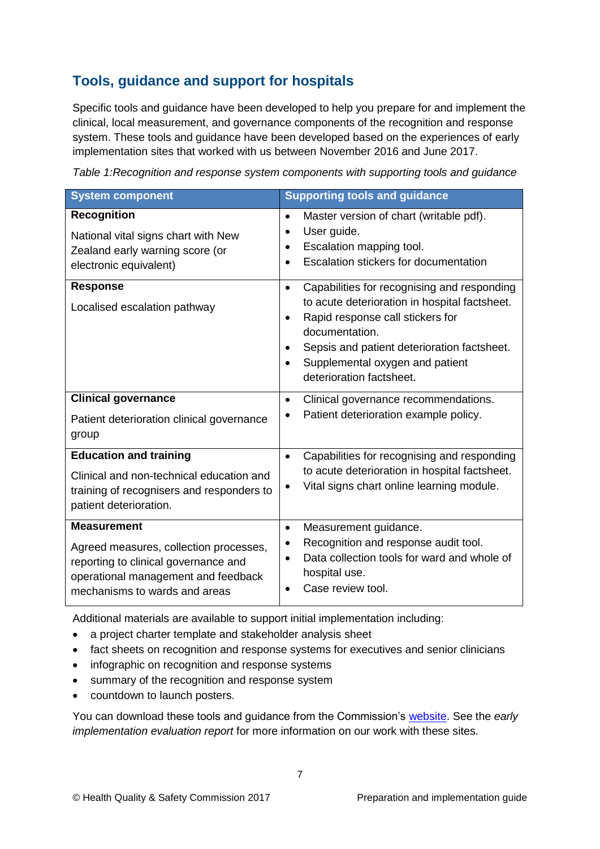## <span id="page-6-0"></span>**Tools, guidance and support for hospitals**

Specific tools and guidance have been developed to help you prepare for and implement the clinical, local measurement, and governance components of the recognition and response system. These tools and guidance have been developed based on the experiences of early implementation sites that worked with us between November 2016 and June 2017.

*Table 1:Recognition and response system components with supporting tools and guidance*

| <b>System component</b>                                                                                                                                                      | <b>Supporting tools and guidance</b>                                                                                                                                                                                                                                                                    |
|------------------------------------------------------------------------------------------------------------------------------------------------------------------------------|---------------------------------------------------------------------------------------------------------------------------------------------------------------------------------------------------------------------------------------------------------------------------------------------------------|
| <b>Recognition</b><br>National vital signs chart with New<br>Zealand early warning score (or<br>electronic equivalent)                                                       | Master version of chart (writable pdf).<br>$\bullet$<br>User guide.<br>$\bullet$<br>Escalation mapping tool.<br>$\bullet$<br>Escalation stickers for documentation<br>$\bullet$                                                                                                                         |
| <b>Response</b><br>Localised escalation pathway                                                                                                                              | Capabilities for recognising and responding<br>$\bullet$<br>to acute deterioration in hospital factsheet.<br>Rapid response call stickers for<br>$\bullet$<br>documentation.<br>Sepsis and patient deterioration factsheet.<br>Supplemental oxygen and patient<br>$\bullet$<br>deterioration factsheet. |
| <b>Clinical governance</b><br>Patient deterioration clinical governance<br>group                                                                                             | Clinical governance recommendations.<br>٠<br>Patient deterioration example policy.                                                                                                                                                                                                                      |
| <b>Education and training</b><br>Clinical and non-technical education and<br>training of recognisers and responders to<br>patient deterioration.                             | Capabilities for recognising and responding<br>$\bullet$<br>to acute deterioration in hospital factsheet.<br>Vital signs chart online learning module.<br>٠                                                                                                                                             |
| <b>Measurement</b><br>Agreed measures, collection processes,<br>reporting to clinical governance and<br>operational management and feedback<br>mechanisms to wards and areas | Measurement guidance.<br>$\bullet$<br>Recognition and response audit tool.<br>٠<br>Data collection tools for ward and whole of<br>hospital use.<br>Case review tool.                                                                                                                                    |

Additional materials are available to support initial implementation including:

- a project charter template and stakeholder analysis sheet
- fact sheets on recognition and response systems for executives and senior clinicians
- infographic on recognition and response systems
- summary of the recognition and response system
- countdown to launch posters.

You can download these tools and guidance from the Commission's [website.](https://www.hqsc.govt.nz/our-programmes/patient-deterioration/recognition-and-response-systems/guidance/) See the *early implementation evaluation report* for more information on our work with these sites.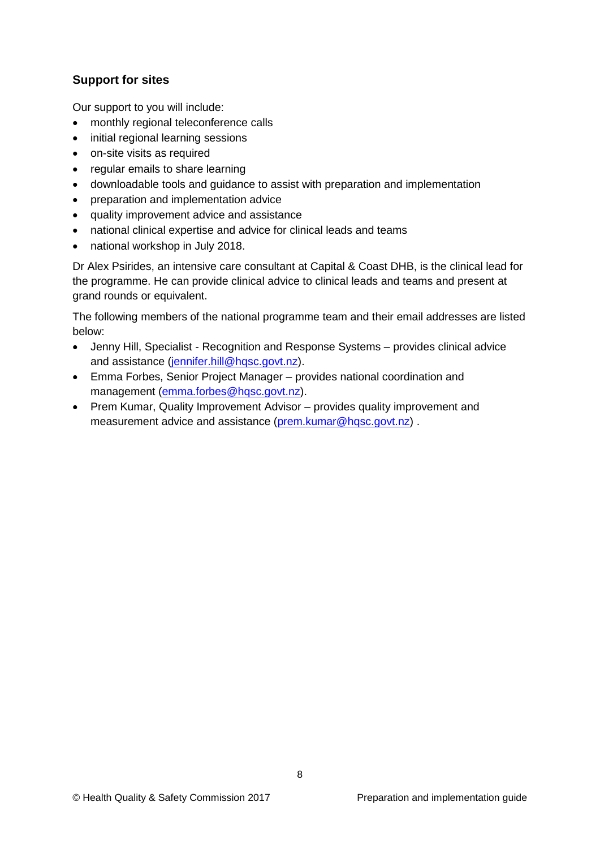### <span id="page-7-0"></span>**Support for sites**

Our support to you will include:

- monthly regional teleconference calls
- initial regional learning sessions
- on-site visits as required
- regular emails to share learning
- downloadable tools and guidance to assist with preparation and implementation
- preparation and implementation advice
- quality improvement advice and assistance
- national clinical expertise and advice for clinical leads and teams
- national workshop in July 2018.

Dr Alex Psirides, an intensive care consultant at Capital & Coast DHB, is the clinical lead for the programme. He can provide clinical advice to clinical leads and teams and present at grand rounds or equivalent.

The following members of the national programme team and their email addresses are listed below:

- Jenny Hill, Specialist Recognition and Response Systems provides clinical advice and assistance [\(jennifer.hill@hqsc.govt.nz\)](mailto:jennifer.hill@hqsc.govt.nz).
- Emma Forbes, Senior Project Manager provides national coordination and management [\(emma.forbes@hqsc.govt.nz\)](mailto:emma.forbes@hqsc.govt.nz).
- Prem Kumar, Quality Improvement Advisor provides quality improvement and measurement advice and assistance [\(prem.kumar@hqsc.govt.nz\)](mailto:prem.kumar@hqsc.govt.nz) .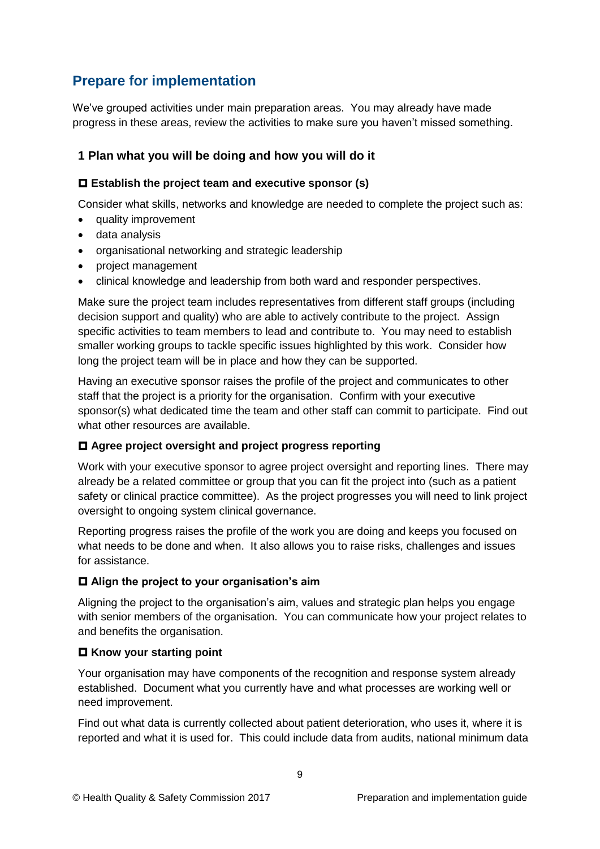## <span id="page-8-0"></span>**Prepare for implementation**

We've grouped activities under main preparation areas. You may already have made progress in these areas, review the activities to make sure you haven't missed something.

### <span id="page-8-1"></span>**1 Plan what you will be doing and how you will do it**

### **Establish the project team and executive sponsor (s)**

Consider what skills, networks and knowledge are needed to complete the project such as:

- quality improvement
- data analysis
- organisational networking and strategic leadership
- project management
- clinical knowledge and leadership from both ward and responder perspectives.

Make sure the project team includes representatives from different staff groups (including decision support and quality) who are able to actively contribute to the project. Assign specific activities to team members to lead and contribute to. You may need to establish smaller working groups to tackle specific issues highlighted by this work. Consider how long the project team will be in place and how they can be supported.

Having an executive sponsor raises the profile of the project and communicates to other staff that the project is a priority for the organisation. Confirm with your executive sponsor(s) what dedicated time the team and other staff can commit to participate. Find out what other resources are available.

### **Agree project oversight and project progress reporting**

Work with your executive sponsor to agree project oversight and reporting lines. There may already be a related committee or group that you can fit the project into (such as a patient safety or clinical practice committee). As the project progresses you will need to link project oversight to ongoing system clinical governance.

Reporting progress raises the profile of the work you are doing and keeps you focused on what needs to be done and when. It also allows you to raise risks, challenges and issues for assistance.

### **Align the project to your organisation's aim**

Aligning the project to the organisation's aim, values and strategic plan helps you engage with senior members of the organisation. You can communicate how your project relates to and benefits the organisation.

### **Know your starting point**

Your organisation may have components of the recognition and response system already established. Document what you currently have and what processes are working well or need improvement.

Find out what data is currently collected about patient deterioration, who uses it, where it is reported and what it is used for. This could include data from audits, national minimum data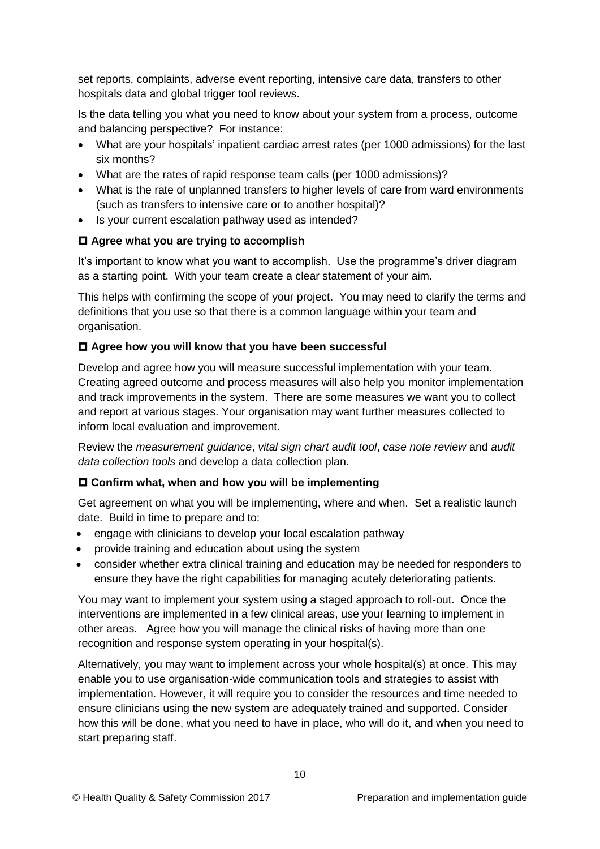set reports, complaints, adverse event reporting, intensive care data, transfers to other hospitals data and global trigger tool reviews.

Is the data telling you what you need to know about your system from a process, outcome and balancing perspective? For instance:

- What are your hospitals' inpatient cardiac arrest rates (per 1000 admissions) for the last six months?
- What are the rates of rapid response team calls (per 1000 admissions)?
- What is the rate of unplanned transfers to higher levels of care from ward environments (such as transfers to intensive care or to another hospital)?
- Is your current escalation pathway used as intended?

### **Agree what you are trying to accomplish**

It's important to know what you want to accomplish. Use the programme's driver diagram as a starting point. With your team create a clear statement of your aim.

This helps with confirming the scope of your project. You may need to clarify the terms and definitions that you use so that there is a common language within your team and organisation.

### **Agree how you will know that you have been successful**

Develop and agree how you will measure successful implementation with your team. Creating agreed outcome and process measures will also help you monitor implementation and track improvements in the system. There are some measures we want you to collect and report at various stages. Your organisation may want further measures collected to inform local evaluation and improvement.

Review the *measurement guidance*, *vital sign chart audit tool*, *case note review* and *audit data collection tools* and develop a data collection plan.

#### **Confirm what, when and how you will be implementing**

Get agreement on what you will be implementing, where and when. Set a realistic launch date. Build in time to prepare and to:

- engage with clinicians to develop your local escalation pathway
- provide training and education about using the system
- consider whether extra clinical training and education may be needed for responders to ensure they have the right capabilities for managing acutely deteriorating patients.

You may want to implement your system using a staged approach to roll-out. Once the interventions are implemented in a few clinical areas, use your learning to implement in other areas. Agree how you will manage the clinical risks of having more than one recognition and response system operating in your hospital(s).

Alternatively, you may want to implement across your whole hospital(s) at once. This may enable you to use organisation-wide communication tools and strategies to assist with implementation. However, it will require you to consider the resources and time needed to ensure clinicians using the new system are adequately trained and supported. Consider how this will be done, what you need to have in place, who will do it, and when you need to start preparing staff.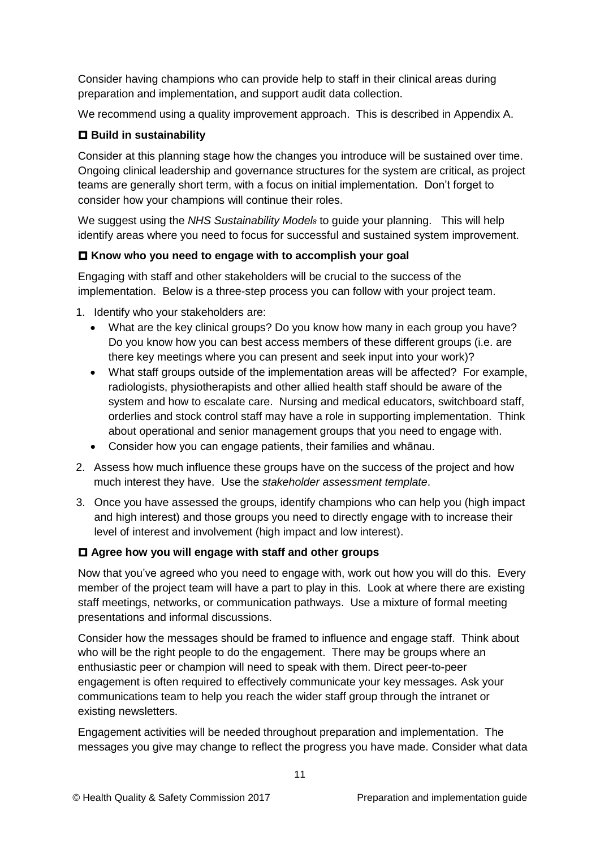Consider having champions who can provide help to staff in their clinical areas during preparation and implementation, and support audit data collection.

We recommend using a quality improvement approach. This is described in Appendix A.

#### **Build in sustainability**

Consider at this planning stage how the changes you introduce will be sustained over time. Ongoing clinical leadership and governance structures for the system are critical, as project teams are generally short term, with a focus on initial implementation. Don't forget to consider how your champions will continue their roles.

We suggest using the *NHS Sustainability Model<sup>8</sup>* to guide your planning. This will help identify areas where you need to focus for successful and sustained system improvement.

#### **Know who you need to engage with to accomplish your goal**

Engaging with staff and other stakeholders will be crucial to the success of the implementation. Below is a three-step process you can follow with your project team.

- 1. Identify who your stakeholders are:
	- What are the key clinical groups? Do you know how many in each group you have? Do you know how you can best access members of these different groups (i.e. are there key meetings where you can present and seek input into your work)?
	- What staff groups outside of the implementation areas will be affected? For example, radiologists, physiotherapists and other allied health staff should be aware of the system and how to escalate care. Nursing and medical educators, switchboard staff, orderlies and stock control staff may have a role in supporting implementation. Think about operational and senior management groups that you need to engage with.
	- Consider how you can engage patients, their families and whānau.
- 2. Assess how much influence these groups have on the success of the project and how much interest they have. Use the *stakeholder assessment template*.
- 3. Once you have assessed the groups, identify champions who can help you (high impact and high interest) and those groups you need to directly engage with to increase their level of interest and involvement (high impact and low interest).

#### **Agree how you will engage with staff and other groups**

Now that you've agreed who you need to engage with, work out how you will do this. Every member of the project team will have a part to play in this. Look at where there are existing staff meetings, networks, or communication pathways. Use a mixture of formal meeting presentations and informal discussions.

Consider how the messages should be framed to influence and engage staff. Think about who will be the right people to do the engagement. There may be groups where an enthusiastic peer or champion will need to speak with them. Direct peer-to-peer engagement is often required to effectively communicate your key messages. Ask your communications team to help you reach the wider staff group through the intranet or existing newsletters.

Engagement activities will be needed throughout preparation and implementation. The messages you give may change to reflect the progress you have made. Consider what data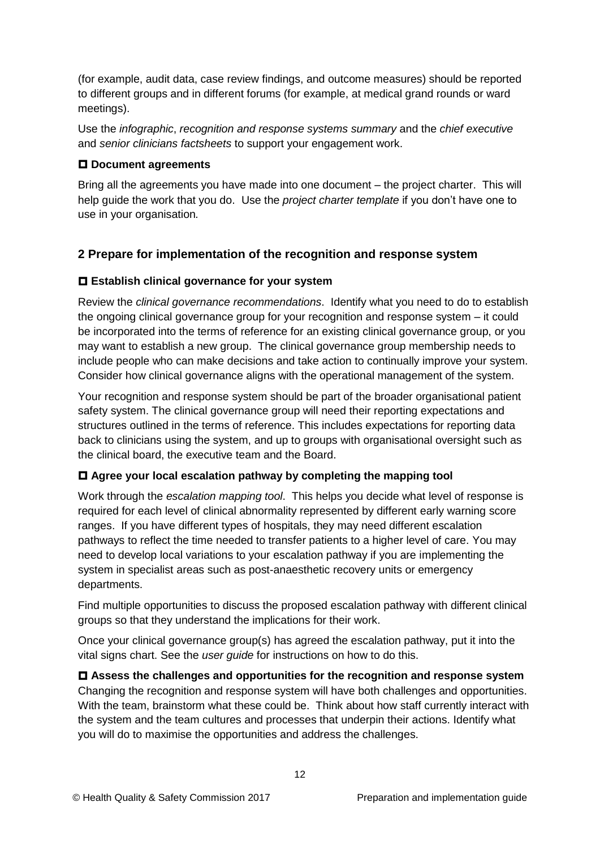(for example, audit data, case review findings, and outcome measures) should be reported to different groups and in different forums (for example, at medical grand rounds or ward meetings).

Use the *infographic*, *recognition and response systems summary* and the *chief executive*  and *senior clinicians factsheets* to support your engagement work.

#### **Document agreements**

Bring all the agreements you have made into one document – the project charter. This will help guide the work that you do. Use the *project charter template* if you don't have one to use in your organisation*.*

### <span id="page-11-0"></span>**2 Prepare for implementation of the recognition and response system**

#### **Establish clinical governance for your system**

Review the *clinical governance recommendations*. Identify what you need to do to establish the ongoing clinical governance group for your recognition and response system – it could be incorporated into the terms of reference for an existing clinical governance group, or you may want to establish a new group. The clinical governance group membership needs to include people who can make decisions and take action to continually improve your system. Consider how clinical governance aligns with the operational management of the system.

Your recognition and response system should be part of the broader organisational patient safety system. The clinical governance group will need their reporting expectations and structures outlined in the terms of reference. This includes expectations for reporting data back to clinicians using the system, and up to groups with organisational oversight such as the clinical board, the executive team and the Board.

#### **Agree your local escalation pathway by completing the mapping tool**

Work through the *escalation mapping tool*. This helps you decide what level of response is required for each level of clinical abnormality represented by different early warning score ranges. If you have different types of hospitals, they may need different escalation pathways to reflect the time needed to transfer patients to a higher level of care. You may need to develop local variations to your escalation pathway if you are implementing the system in specialist areas such as post-anaesthetic recovery units or emergency departments.

Find multiple opportunities to discuss the proposed escalation pathway with different clinical groups so that they understand the implications for their work.

Once your clinical governance group(s) has agreed the escalation pathway, put it into the vital signs chart. See the *user guide* for instructions on how to do this.

 **Assess the challenges and opportunities for the recognition and response system** Changing the recognition and response system will have both challenges and opportunities. With the team, brainstorm what these could be. Think about how staff currently interact with the system and the team cultures and processes that underpin their actions. Identify what you will do to maximise the opportunities and address the challenges.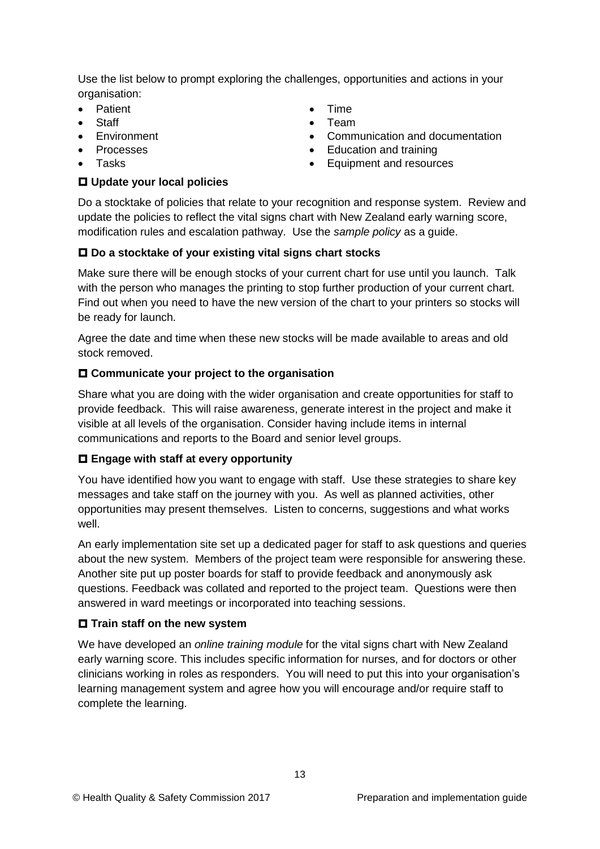Use the list below to prompt exploring the challenges, opportunities and actions in your organisation:

- Patient
- **Staff**
- **•** Environment
- Processes
- Tasks

#### **Update your local policies**

- **•** Time
- Team
- Communication and documentation
- Education and training
- Equipment and resources

Do a stocktake of policies that relate to your recognition and response system. Review and update the policies to reflect the vital signs chart with New Zealand early warning score, modification rules and escalation pathway. Use the *sample policy* as a guide.

### **Do a stocktake of your existing vital signs chart stocks**

Make sure there will be enough stocks of your current chart for use until you launch. Talk with the person who manages the printing to stop further production of your current chart. Find out when you need to have the new version of the chart to your printers so stocks will be ready for launch.

Agree the date and time when these new stocks will be made available to areas and old stock removed.

### **Communicate your project to the organisation**

Share what you are doing with the wider organisation and create opportunities for staff to provide feedback. This will raise awareness, generate interest in the project and make it visible at all levels of the organisation. Consider having include items in internal communications and reports to the Board and senior level groups.

#### **Engage with staff at every opportunity**

You have identified how you want to engage with staff. Use these strategies to share key messages and take staff on the journey with you. As well as planned activities, other opportunities may present themselves. Listen to concerns, suggestions and what works well.

An early implementation site set up a dedicated pager for staff to ask questions and queries about the new system. Members of the project team were responsible for answering these. Another site put up poster boards for staff to provide feedback and anonymously ask questions. Feedback was collated and reported to the project team. Questions were then answered in ward meetings or incorporated into teaching sessions.

#### $\Box$  Train staff on the new system

We have developed an *online training module* for the vital signs chart with New Zealand early warning score. This includes specific information for nurses, and for doctors or other clinicians working in roles as responders. You will need to put this into your organisation's learning management system and agree how you will encourage and/or require staff to complete the learning.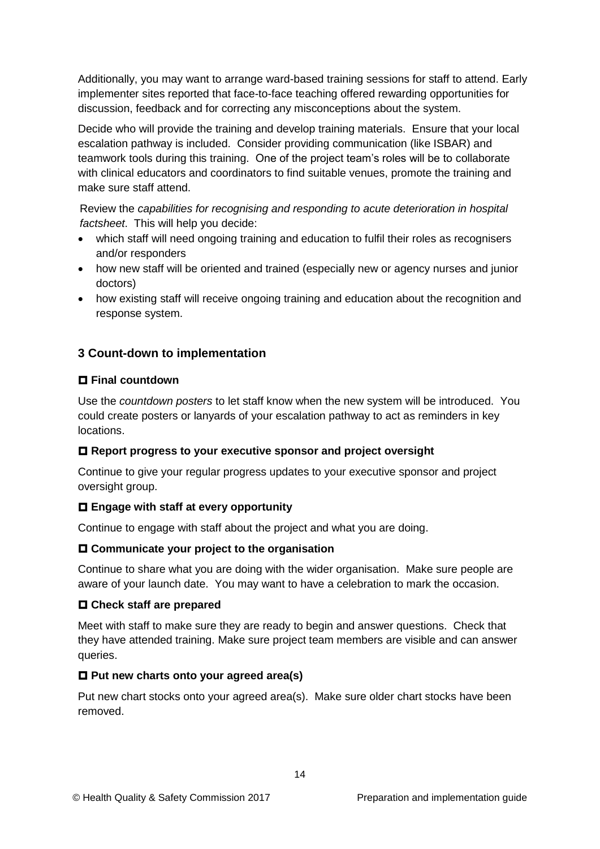Additionally, you may want to arrange ward-based training sessions for staff to attend. Early implementer sites reported that face-to-face teaching offered rewarding opportunities for discussion, feedback and for correcting any misconceptions about the system.

Decide who will provide the training and develop training materials. Ensure that your local escalation pathway is included. Consider providing communication (like ISBAR) and teamwork tools during this training. One of the project team's roles will be to collaborate with clinical educators and coordinators to find suitable venues, promote the training and make sure staff attend.

Review the *capabilities for recognising and responding to acute deterioration in hospital factsheet*. This will help you decide:

- which staff will need ongoing training and education to fulfil their roles as recognisers and/or responders
- how new staff will be oriented and trained (especially new or agency nurses and junior doctors)
- how existing staff will receive ongoing training and education about the recognition and response system.

## <span id="page-13-0"></span>**3 Count-down to implementation**

#### **Final countdown**

Use the *countdown posters* to let staff know when the new system will be introduced. You could create posters or lanyards of your escalation pathway to act as reminders in key locations.

#### **Report progress to your executive sponsor and project oversight**

Continue to give your regular progress updates to your executive sponsor and project oversight group.

#### **Engage with staff at every opportunity**

Continue to engage with staff about the project and what you are doing.

#### **Communicate your project to the organisation**

Continue to share what you are doing with the wider organisation. Make sure people are aware of your launch date. You may want to have a celebration to mark the occasion.

#### **Check staff are prepared**

Meet with staff to make sure they are ready to begin and answer questions. Check that they have attended training. Make sure project team members are visible and can answer queries.

#### **Put new charts onto your agreed area(s)**

Put new chart stocks onto your agreed area(s). Make sure older chart stocks have been removed.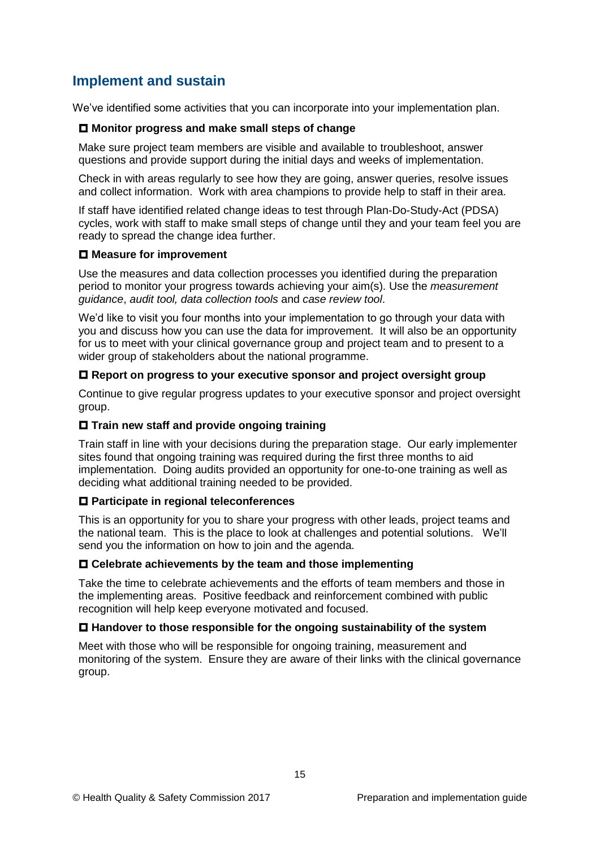## <span id="page-14-0"></span>**Implement and sustain**

We've identified some activities that you can incorporate into your implementation plan.

#### **Monitor progress and make small steps of change**

Make sure project team members are visible and available to troubleshoot, answer questions and provide support during the initial days and weeks of implementation.

Check in with areas regularly to see how they are going, answer queries, resolve issues and collect information. Work with area champions to provide help to staff in their area.

If staff have identified related change ideas to test through Plan-Do-Study-Act (PDSA) cycles, work with staff to make small steps of change until they and your team feel you are ready to spread the change idea further.

#### **Measure for improvement**

Use the measures and data collection processes you identified during the preparation period to monitor your progress towards achieving your aim(s). Use the *measurement guidance*, *audit tool, data collection tools* and *case review tool*.

We'd like to visit you four months into your implementation to go through your data with you and discuss how you can use the data for improvement. It will also be an opportunity for us to meet with your clinical governance group and project team and to present to a wider group of stakeholders about the national programme.

#### **Report on progress to your executive sponsor and project oversight group**

Continue to give regular progress updates to your executive sponsor and project oversight group.

#### **Train new staff and provide ongoing training**

Train staff in line with your decisions during the preparation stage. Our early implementer sites found that ongoing training was required during the first three months to aid implementation. Doing audits provided an opportunity for one-to-one training as well as deciding what additional training needed to be provided.

#### **Participate in regional teleconferences**

This is an opportunity for you to share your progress with other leads, project teams and the national team. This is the place to look at challenges and potential solutions. We'll send you the information on how to join and the agenda.

#### **Celebrate achievements by the team and those implementing**

Take the time to celebrate achievements and the efforts of team members and those in the implementing areas. Positive feedback and reinforcement combined with public recognition will help keep everyone motivated and focused.

#### **Handover to those responsible for the ongoing sustainability of the system**

Meet with those who will be responsible for ongoing training, measurement and monitoring of the system. Ensure they are aware of their links with the clinical governance group.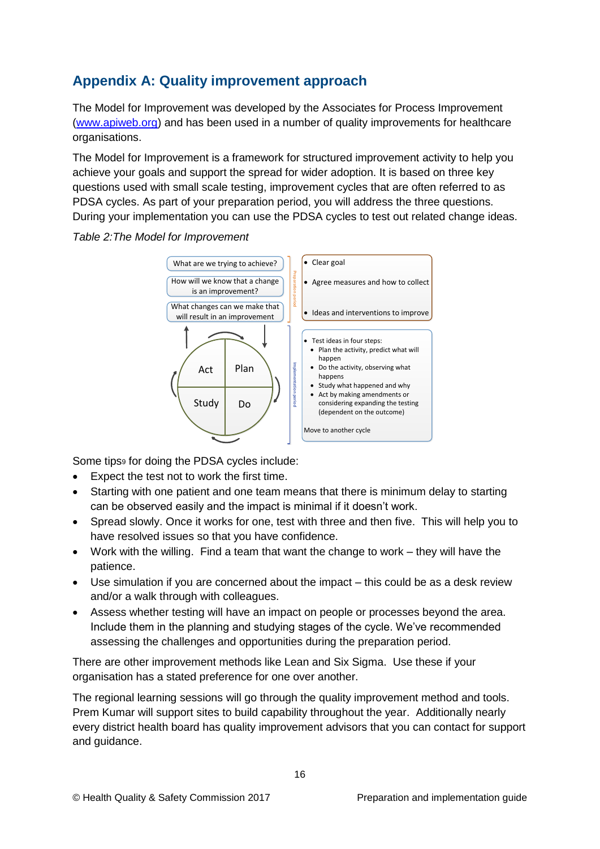## <span id="page-15-0"></span>**Appendix A: Quality improvement approach**

The Model for Improvement was developed by the Associates for Process Improvement [\(www.apiweb.org\)](http://www.apiweb.org/) and has been used in a number of quality improvements for healthcare organisations.

The Model for Improvement is a framework for structured improvement activity to help you achieve your goals and support the spread for wider adoption. It is based on three key questions used with small scale testing, improvement cycles that are often referred to as PDSA cycles. As part of your preparation period, you will address the three questions. During your implementation you can use the PDSA cycles to test out related change ideas.

#### *Table 2:The Model for Improvement*



Some tips<sup>9</sup> for doing the PDSA cycles include:

- Expect the test not to work the first time.
- Starting with one patient and one team means that there is minimum delay to starting can be observed easily and the impact is minimal if it doesn't work.
- Spread slowly. Once it works for one, test with three and then five. This will help you to have resolved issues so that you have confidence.
- Work with the willing. Find a team that want the change to work they will have the patience.
- Use simulation if you are concerned about the impact this could be as a desk review and/or a walk through with colleagues.
- Assess whether testing will have an impact on people or processes beyond the area. Include them in the planning and studying stages of the cycle. We've recommended assessing the challenges and opportunities during the preparation period.

There are other improvement methods like Lean and Six Sigma. Use these if your organisation has a stated preference for one over another.

The regional learning sessions will go through the quality improvement method and tools. Prem Kumar will support sites to build capability throughout the year. Additionally nearly every district health board has quality improvement advisors that you can contact for support and guidance.